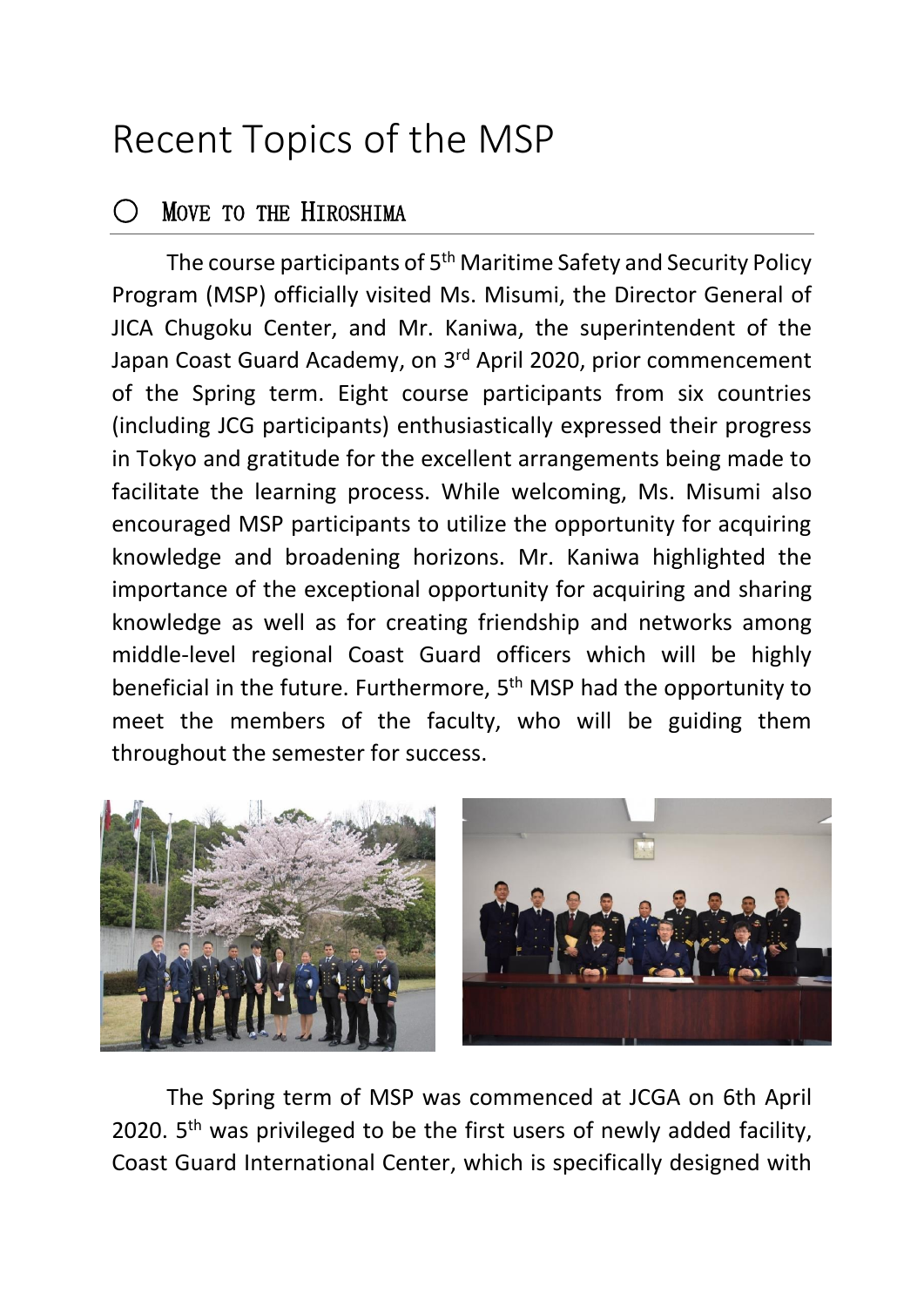## Recent Topics of the MSP

## MOVE TO THE HIROSHIMA

The course participants of 5<sup>th</sup> Maritime Safety and Security Policy Program (MSP) officially visited Ms. Misumi, the Director General of JICA Chugoku Center, and Mr. Kaniwa, the superintendent of the Japan Coast Guard Academy, on 3rd April 2020, prior commencement of the Spring term. Eight course participants from six countries (including JCG participants) enthusiastically expressed their progress in Tokyo and gratitude for the excellent arrangements being made to facilitate the learning process. While welcoming, Ms. Misumi also encouraged MSP participants to utilize the opportunity for acquiring knowledge and broadening horizons. Mr. Kaniwa highlighted the importance of the exceptional opportunity for acquiring and sharing knowledge as well as for creating friendship and networks among middle-level regional Coast Guard officers which will be highly beneficial in the future. Furthermore, 5<sup>th</sup> MSP had the opportunity to meet the members of the faculty, who will be guiding them throughout the semester for success.



The Spring term of MSP was commenced at JCGA on 6th April 2020. 5<sup>th</sup> was privileged to be the first users of newly added facility, Coast Guard International Center, which is specifically designed with